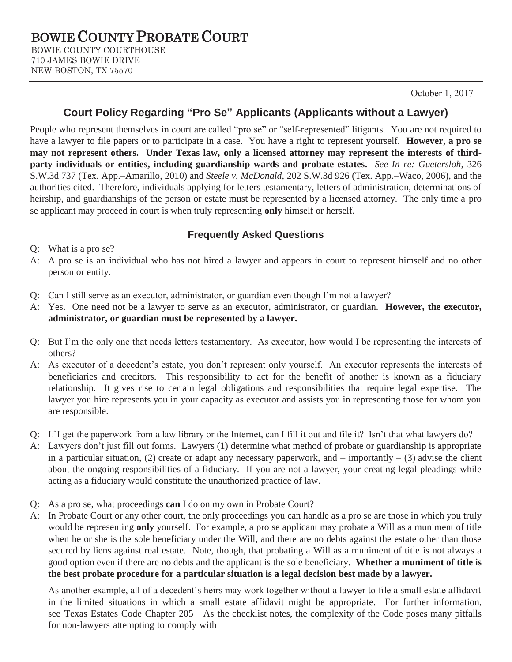October 1, 2017

## **Court Policy Regarding "Pro Se" Applicants (Applicants without a Lawyer)**

People who represent themselves in court are called "pro se" or "self-represented" litigants. You are not required to have a lawyer to file papers or to participate in a case. You have a right to represent yourself. **However, a pro se may not represent others. Under Texas law, only a licensed attorney may represent the interests of thirdparty individuals or entities, including guardianship wards and probate estates.** *See In re: Guetersloh*, 326 S.W.3d 737 (Tex. App.–Amarillo, 2010) and *Steele v. McDonald*, 202 S.W.3d 926 (Tex. App.–Waco, 2006), and the authorities cited. Therefore, individuals applying for letters testamentary, letters of administration, determinations of heirship, and guardianships of the person or estate must be represented by a licensed attorney. The only time a pro se applicant may proceed in court is when truly representing **only** himself or herself.

## **Frequently Asked Questions**

Q: What is a pro se?

- A: A pro se is an individual who has not hired a lawyer and appears in court to represent himself and no other person or entity.
- Q: Can I still serve as an executor, administrator, or guardian even though I'm not a lawyer?
- A: Yes. One need not be a lawyer to serve as an executor, administrator, or guardian. **However, the executor, administrator, or guardian must be represented by a lawyer.**
- Q: But I'm the only one that needs letters testamentary. As executor, how would I be representing the interests of others?
- A: As executor of a decedent's estate, you don't represent only yourself. An executor represents the interests of beneficiaries and creditors. This responsibility to act for the benefit of another is known as a fiduciary relationship. It gives rise to certain legal obligations and responsibilities that require legal expertise. The lawyer you hire represents you in your capacity as executor and assists you in representing those for whom you are responsible.
- Q: If I get the paperwork from a law library or the Internet, can I fill it out and file it? Isn't that what lawyers do?
- A: Lawyers don't just fill out forms. Lawyers (1) determine what method of probate or guardianship is appropriate in a particular situation, (2) create or adapt any necessary paperwork, and  $-$  importantly  $-$  (3) advise the client about the ongoing responsibilities of a fiduciary. If you are not a lawyer, your creating legal pleadings while acting as a fiduciary would constitute the unauthorized practice of law.
- Q: As a pro se, what proceedings **can** I do on my own in Probate Court?
- A: In Probate Court or any other court, the only proceedings you can handle as a pro se are those in which you truly would be representing **only** yourself. For example, a pro se applicant may probate a Will as a muniment of title when he or she is the sole beneficiary under the Will, and there are no debts against the estate other than those secured by liens against real estate. Note, though, that probating a Will as a muniment of title is not always a good option even if there are no debts and the applicant is the sole beneficiary. **Whether a muniment of title is the best probate procedure for a particular situation is a legal decision best made by a lawyer.**

As another example, all of a decedent's heirs may work together without a lawyer to file a small estate affidavit in the limited situations in which a small estate affidavit might be appropriate. For further information, see Texas Estates Code Chapter 205 As the checklist notes, the complexity of the Code poses many pitfalls for non-lawyers attempting to comply with